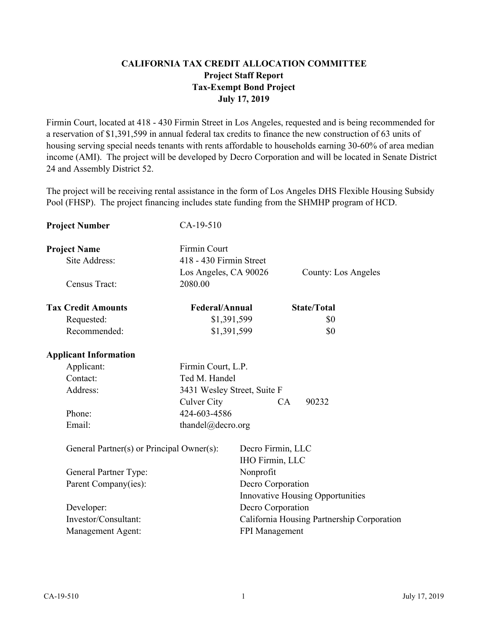## **CALIFORNIA TAX CREDIT ALLOCATION COMMITTEE Project Staff Report Tax-Exempt Bond Project July 17, 2019**

Firmin Court, located at 418 - 430 Firmin Street in Los Angeles, requested and is being recommended for a reservation of \$1,391,599 in annual federal tax credits to finance the new construction of 63 units of housing serving special needs tenants with rents affordable to households earning 30-60% of area median income (AMI). The project will be developed by Decro Corporation and will be located in Senate District 24 and Assembly District 52.

The project will be receiving rental assistance in the form of Los Angeles DHS Flexible Housing Subsidy Pool (FHSP). The project financing includes state funding from the SHMHP program of HCD.

| <b>Project Number</b>                     | CA-19-510                   |                   |                                            |
|-------------------------------------------|-----------------------------|-------------------|--------------------------------------------|
| <b>Project Name</b>                       | <b>Firmin Court</b>         |                   |                                            |
| Site Address:                             | 418 - 430 Firmin Street     |                   |                                            |
|                                           | Los Angeles, CA 90026       |                   | County: Los Angeles                        |
| Census Tract:                             | 2080.00                     |                   |                                            |
| <b>Tax Credit Amounts</b>                 | Federal/Annual              |                   | <b>State/Total</b>                         |
| Requested:                                | \$1,391,599                 |                   | \$0                                        |
| Recommended:                              | \$1,391,599                 |                   | \$0                                        |
| <b>Applicant Information</b>              |                             |                   |                                            |
| Applicant:                                | Firmin Court, L.P.          |                   |                                            |
| Contact:                                  | Ted M. Handel               |                   |                                            |
| Address:                                  | 3431 Wesley Street, Suite F |                   |                                            |
|                                           | Culver City                 |                   | 90232<br>CA                                |
| Phone:                                    | 424-603-4586                |                   |                                            |
| Email:                                    | thandel@decro.org           |                   |                                            |
| General Partner(s) or Principal Owner(s): |                             |                   | Decro Firmin, LLC<br>IHO Firmin, LLC       |
| General Partner Type:                     |                             | Nonprofit         |                                            |
| Parent Company(ies):                      |                             | Decro Corporation |                                            |
|                                           |                             |                   | <b>Innovative Housing Opportunities</b>    |
| Developer:                                |                             |                   | Decro Corporation                          |
| Investor/Consultant:                      |                             |                   | California Housing Partnership Corporation |
| Management Agent:                         |                             | FPI Management    |                                            |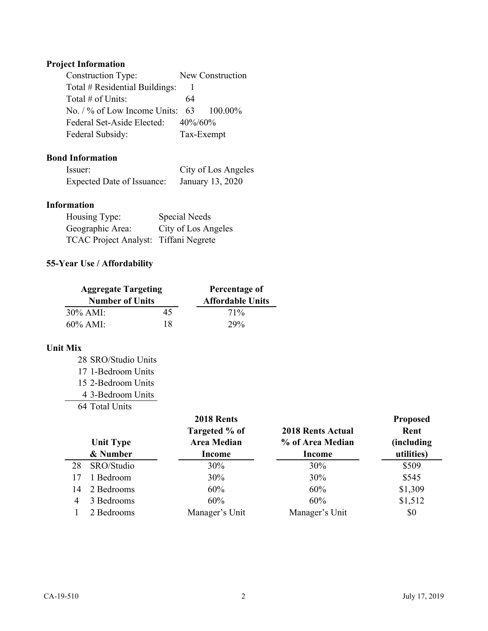# **Project Information**

| <b>Construction Type:</b>                 |             | New Construction |
|-------------------------------------------|-------------|------------------|
| Total # Residential Buildings:            |             |                  |
| Total $\#$ of Units:                      | 64          |                  |
| No. $\frac{1}{6}$ of Low Income Units: 63 |             | $-100.00\%$      |
| Federal Set-Aside Elected:                | $40\%/60\%$ |                  |
| Federal Subsidy:                          |             | Tax-Exempt       |

## **Bond Information**

| Issuer:                    | City of Los Angeles |
|----------------------------|---------------------|
| Expected Date of Issuance: | January 13, 2020    |

# **Information**

| Housing Type:                         | Special Needs       |
|---------------------------------------|---------------------|
| Geographic Area:                      | City of Los Angeles |
| TCAC Project Analyst: Tiffani Negrete |                     |

## **55-Year Use / Affordability**

| <b>Aggregate Targeting</b><br><b>Number of Units</b> |    | Percentage of<br><b>Affordable Units</b> |
|------------------------------------------------------|----|------------------------------------------|
| $30\%$ AMI:                                          | 45 | $71\%$                                   |
| $60\%$ AMI:                                          | 18 | 29%                                      |

### **Unit Mix**

| 28 SRO/Studio Units |
|---------------------|
| 17 1-Bedroom Units  |
| 15 2-Bedroom Units  |
| 4 3-Bedroom Units   |
| 64 Total Units      |

|    | <b>Unit Type</b><br>& Number | 2018 Rents<br>Targeted % of<br><b>Area Median</b><br>Income | <b>2018 Rents Actual</b><br>% of Area Median<br>Income | <b>Proposed</b><br>Rent<br>(including<br>utilities) |
|----|------------------------------|-------------------------------------------------------------|--------------------------------------------------------|-----------------------------------------------------|
| 28 | SRO/Studio                   | 30%                                                         | 30%                                                    | \$509                                               |
| 17 | 1 Bedroom                    | 30%                                                         | 30%                                                    | \$545                                               |
| 14 | 2 Bedrooms                   | 60%                                                         | 60%                                                    | \$1,309                                             |
| 4  | 3 Bedrooms                   | 60%                                                         | 60%                                                    | \$1,512                                             |
|    | 2 Bedrooms                   | Manager's Unit                                              | Manager's Unit                                         | \$0                                                 |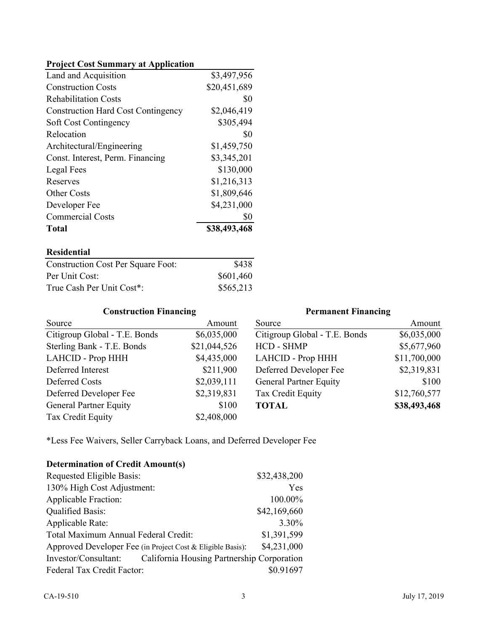### **Project Cost Summary at Application**

| <b>Commercial Costs</b><br>Total          | \$0<br>\$38,493,468 |
|-------------------------------------------|---------------------|
| Developer Fee                             | \$4,231,000         |
| <b>Other Costs</b>                        | \$1,809,646         |
| Reserves                                  | \$1,216,313         |
| Legal Fees                                | \$130,000           |
| Const. Interest, Perm. Financing          | \$3,345,201         |
| Architectural/Engineering                 | \$1,459,750         |
| Relocation                                | \$0                 |
| Soft Cost Contingency                     | \$305,494           |
| <b>Construction Hard Cost Contingency</b> | \$2,046,419         |
| <b>Rehabilitation Costs</b>               | \$0                 |
| <b>Construction Costs</b>                 | \$20,451,689        |
| Land and Acquisition                      | \$3,497,956         |

#### **Residential**

| <b>Construction Cost Per Square Foot:</b> | \$438     |
|-------------------------------------------|-----------|
| Per Unit Cost:                            | \$601,460 |
| True Cash Per Unit Cost*:                 | \$565,213 |

## **Construction Financing**

## **Permanent Financing**

| Source                        | Amount       | Source                        | Amount       |
|-------------------------------|--------------|-------------------------------|--------------|
| Citigroup Global - T.E. Bonds | \$6,035,000  | Citigroup Global - T.E. Bonds | \$6,035,000  |
| Sterling Bank - T.E. Bonds    | \$21,044,526 | HCD - SHMP                    | \$5,677,960  |
| LAHCID - Prop HHH             | \$4,435,000  | LAHCID - Prop HHH             | \$11,700,000 |
| Deferred Interest             | \$211,900    | Deferred Developer Fee        | \$2,319,831  |
| Deferred Costs                | \$2,039,111  | <b>General Partner Equity</b> | \$100        |
| Deferred Developer Fee        | \$2,319,831  | Tax Credit Equity             | \$12,760,577 |
| <b>General Partner Equity</b> | \$100        | <b>TOTAL</b>                  | \$38,493,468 |
| Tax Credit Equity             | \$2,408,000  |                               |              |

\*Less Fee Waivers, Seller Carryback Loans, and Deferred Developer Fee

| <b>Determination of Credit Amount(s)</b>                           |              |
|--------------------------------------------------------------------|--------------|
| Requested Eligible Basis:                                          | \$32,438,200 |
| 130% High Cost Adjustment:                                         | Yes          |
| <b>Applicable Fraction:</b>                                        | 100.00%      |
| <b>Qualified Basis:</b>                                            | \$42,169,660 |
| Applicable Rate:                                                   | 3.30%        |
| Total Maximum Annual Federal Credit:                               | \$1,391,599  |
| Approved Developer Fee (in Project Cost & Eligible Basis):         | \$4,231,000  |
| California Housing Partnership Corporation<br>Investor/Consultant: |              |
| Federal Tax Credit Factor:                                         | \$0.91697    |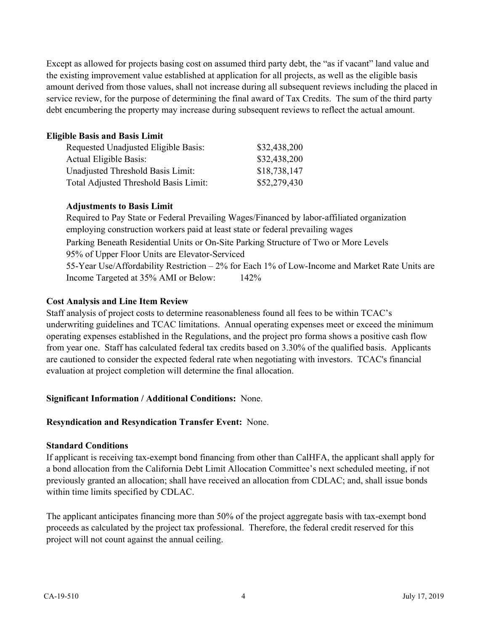Except as allowed for projects basing cost on assumed third party debt, the "as if vacant" land value and the existing improvement value established at application for all projects, as well as the eligible basis amount derived from those values, shall not increase during all subsequent reviews including the placed in service review, for the purpose of determining the final award of Tax Credits. The sum of the third party debt encumbering the property may increase during subsequent reviews to reflect the actual amount.

### **Eligible Basis and Basis Limit**

| Requested Unadjusted Eligible Basis:  | \$32,438,200 |
|---------------------------------------|--------------|
| Actual Eligible Basis:                | \$32,438,200 |
| Unadjusted Threshold Basis Limit:     | \$18,738,147 |
| Total Adjusted Threshold Basis Limit: | \$52,279,430 |

#### **Adjustments to Basis Limit**

Parking Beneath Residential Units or On-Site Parking Structure of Two or More Levels 95% of Upper Floor Units are Elevator-Serviced 55-Year Use/Affordability Restriction – 2% for Each 1% of Low-Income and Market Rate Units are Income Targeted at 35% AMI or Below: 142% Required to Pay State or Federal Prevailing Wages/Financed by labor-affiliated organization employing construction workers paid at least state or federal prevailing wages

#### **Cost Analysis and Line Item Review**

Staff analysis of project costs to determine reasonableness found all fees to be within TCAC's underwriting guidelines and TCAC limitations. Annual operating expenses meet or exceed the minimum operating expenses established in the Regulations, and the project pro forma shows a positive cash flow from year one. Staff has calculated federal tax credits based on 3.30% of the qualified basis. Applicants are cautioned to consider the expected federal rate when negotiating with investors. TCAC's financial evaluation at project completion will determine the final allocation.

#### **Significant Information / Additional Conditions:** None.

#### **Resyndication and Resyndication Transfer Event:** None.

#### **Standard Conditions**

If applicant is receiving tax-exempt bond financing from other than CalHFA, the applicant shall apply for a bond allocation from the California Debt Limit Allocation Committee's next scheduled meeting, if not previously granted an allocation; shall have received an allocation from CDLAC; and, shall issue bonds within time limits specified by CDLAC.

The applicant anticipates financing more than 50% of the project aggregate basis with tax-exempt bond proceeds as calculated by the project tax professional. Therefore, the federal credit reserved for this project will not count against the annual ceiling.